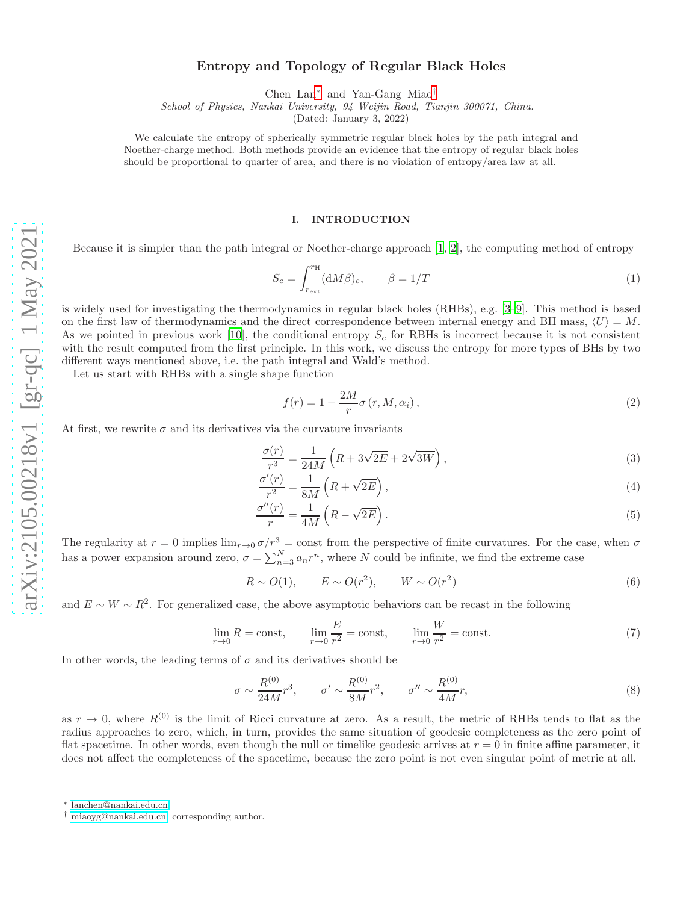# Entropy and Topology of Regular Black Holes

Chen Lan[∗](#page-0-0) and Yan-Gang Miao[†](#page-0-1)

School of Physics, Nankai University, 94 Weijin Road, Tianjin 300071, China.

(Dated: January 3, 2022)

We calculate the entropy of spherically symmetric regular black holes by the path integral and Noether-charge method. Both methods provide an evidence that the entropy of regular black holes should be proportional to quarter of area, and there is no violation of entropy/area law at all.

## I. INTRODUCTION

Because it is simpler than the path integral or Noether-charge approach [\[1](#page-8-0), [2](#page-8-1)], the computing method of entropy

$$
S_c = \int_{r_{\text{ext}}}^{r_{\text{H}}} (\mathrm{d}M \beta)_c, \qquad \beta = 1/T \tag{1}
$$

is widely used for investigating the thermodynamics in regular black holes (RHBs), e.g. [\[3](#page-8-2)[–9\]](#page-9-0). This method is based on the first law of thermodynamics and the direct correspondence between internal energy and BH mass,  $\langle U \rangle = M$ . As we pointed in previous work [\[10](#page-9-1)], the conditional entropy  $S_c$  for RBHs is incorrect because it is not consistent with the result computed from the first principle. In this work, we discuss the entropy for more types of BHs by two different ways mentioned above, i.e. the path integral and Wald's method.

Let us start with RHBs with a single shape function

<span id="page-0-3"></span><span id="page-0-2"></span>
$$
f(r) = 1 - \frac{2M}{r}\sigma(r, M, \alpha_i), \qquad (2)
$$

At first, we rewrite  $\sigma$  and its derivatives via the curvature invariants

$$
\frac{\sigma(r)}{r^3} = \frac{1}{24M} \left( R + 3\sqrt{2E} + 2\sqrt{3W} \right),\tag{3}
$$

$$
\frac{\sigma'(r)}{r^2} = \frac{1}{8M} \left( R + \sqrt{2E} \right),\tag{4}
$$

$$
\frac{\sigma''(r)}{r} = \frac{1}{4M} \left( R - \sqrt{2E} \right). \tag{5}
$$

The regularity at  $r = 0$  implies  $\lim_{r\to 0} \sigma/r^3 = \text{const}$  from the perspective of finite curvatures. For the case, when  $\sigma$ has a power expansion around zero,  $\sigma = \sum_{n=3}^{N} a_n r^n$ , where N could be infinite, we find the extreme case

$$
R \sim O(1), \qquad E \sim O(r^2), \qquad W \sim O(r^2) \tag{6}
$$

and  $E \sim W \sim R^2$ . For generalized case, the above asymptotic behaviors can be recast in the following

$$
\lim_{r \to 0} R = \text{const}, \qquad \lim_{r \to 0} \frac{E}{r^2} = \text{const}, \qquad \lim_{r \to 0} \frac{W}{r^2} = \text{const.}
$$
\n(7)

In other words, the leading terms of  $\sigma$  and its derivatives should be

$$
\sigma \sim \frac{R^{(0)}}{24M}r^3, \qquad \sigma' \sim \frac{R^{(0)}}{8M}r^2, \qquad \sigma'' \sim \frac{R^{(0)}}{4M}r,\tag{8}
$$

as  $r \to 0$ , where  $R^{(0)}$  is the limit of Ricci curvature at zero. As a result, the metric of RHBs tends to flat as the radius approaches to zero, which, in turn, provides the same situation of geodesic completeness as the zero point of flat spacetime. In other words, even though the null or timelike geodesic arrives at  $r = 0$  in finite affine parameter, it does not affect the completeness of the spacetime, because the zero point is not even singular point of metric at all.

<span id="page-0-0"></span><sup>∗</sup> [lanchen@nankai.edu.cn](mailto:lanchen@nankai.edu.cn)

<span id="page-0-1"></span><sup>†</sup> [miaoyg@nankai.edu.cn;](mailto:miaoyg@nankai.edu.cn) corresponding author.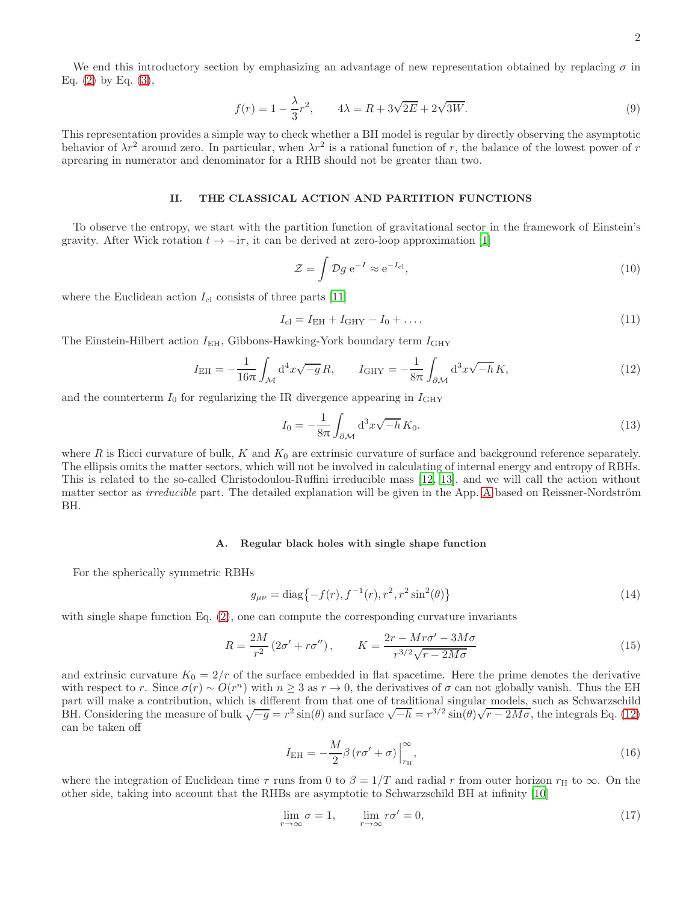We end this introductory section by emphasizing an advantage of new representation obtained by replacing  $\sigma$  in Eq.  $(2)$  by Eq.  $(3)$ ,

$$
f(r) = 1 - \frac{\lambda}{3}r^2, \qquad 4\lambda = R + 3\sqrt{2E} + 2\sqrt{3W}.
$$
 (9)

This representation provides a simple way to check whether a BH model is regular by directly observing the asymptotic behavior of  $\lambda r^2$  around zero. In particular, when  $\lambda r^2$  is a rational function of r, the balance of the lowest power of r aprearing in numerator and denominator for a RHB should not be greater than two.

#### II. THE CLASSICAL ACTION AND PARTITION FUNCTIONS

To observe the entropy, we start with the partition function of gravitational sector in the framework of Einstein's gravity. After Wick rotation  $t \to -i\tau$ , it can be derived at zero-loop approximation [\[1](#page-8-0)]

$$
\mathcal{Z} = \int \mathcal{D}g \, \mathrm{e}^{-I} \approx \mathrm{e}^{-I_{\mathrm{cl}}},\tag{10}
$$

where the Euclidean action  $I_{\rm cl}$  consists of three parts [\[11\]](#page-9-2)

$$
I_{\rm cl} = I_{\rm EH} + I_{\rm GHY} - I_0 + \dots \tag{11}
$$

The Einstein-Hilbert action  $I_{\text{EH}}$ , Gibbons-Hawking-York boundary term  $I_{\text{GHY}}$ 

<span id="page-1-0"></span>
$$
I_{\rm EH} = -\frac{1}{16\pi} \int_{\mathcal{M}} d^4 x \sqrt{-g} R, \qquad I_{\rm GHY} = -\frac{1}{8\pi} \int_{\partial \mathcal{M}} d^3 x \sqrt{-h} K,
$$
\n(12)

and the counterterm  $I_0$  for regularizing the IR divergence appearing in  $I_{GHY}$ 

$$
I_0 = -\frac{1}{8\pi} \int_{\partial \mathcal{M}} d^3 x \sqrt{-h} \, K_0.
$$
 (13)

where R is Ricci curvature of bulk, K and  $K_0$  are extrinsic curvature of surface and background reference separately. The ellipsis omits the matter sectors, which will not be involved in calculating of internal energy and entropy of RBHs. This is related to the so-called Christodoulou-Ruffini irreducible mass [\[12,](#page-9-3) [13\]](#page-9-4), and we will call the action without matter sector as *irreducible* part. The detailed explanation will be given in the [A](#page-7-0)pp. A based on Reissner-Nordström BH.

#### A. Regular black holes with single shape function

For the spherically symmetric RBHs

<span id="page-1-1"></span>
$$
g_{\mu\nu} = \text{diag}\{-f(r), f^{-1}(r), r^2, r^2 \sin^2(\theta)\}\tag{14}
$$

with single shape function Eq. [\(2\)](#page-0-2), one can compute the corresponding curvature invariants

$$
R = \frac{2M}{r^2} \left(2\sigma' + r\sigma''\right), \qquad K = \frac{2r - Mr\sigma' - 3M\sigma}{r^{3/2}\sqrt{r - 2M\sigma}}\tag{15}
$$

and extrinsic curvature  $K_0 = 2/r$  of the surface embedded in flat spacetime. Here the prime denotes the derivative with respect to r. Since  $\sigma(r) \sim O(r^n)$  with  $n \geq 3$  as  $r \to 0$ , the derivatives of  $\sigma$  can not globally vanish. Thus the EH part will make a contribution, which is different from that one of traditional singular models, such as Schwarzschild BH. Considering the measure of bulk  $\sqrt{-g} = r^2 \sin(\theta)$  and surface  $\sqrt{-h} = r^{3/2} \sin(\theta) \sqrt{r - 2M\sigma}$ , the integrals Eq. [\(12\)](#page-1-0) can be taken off

$$
I_{\rm EH} = -\frac{M}{2}\beta \left( r\sigma' + \sigma \right) \Big|_{r_{\rm H}}^{\infty},\tag{16}
$$

where the integration of Euclidean time  $\tau$  runs from 0 to  $\beta = 1/T$  and radial r from outer horizon  $r_H$  to  $\infty$ . On the other side, taking into account that the RHBs are asymptotic to Schwarzschild BH at infinity [\[10\]](#page-9-1)

$$
\lim_{r \to \infty} \sigma = 1, \qquad \lim_{r \to \infty} r\sigma' = 0,\tag{17}
$$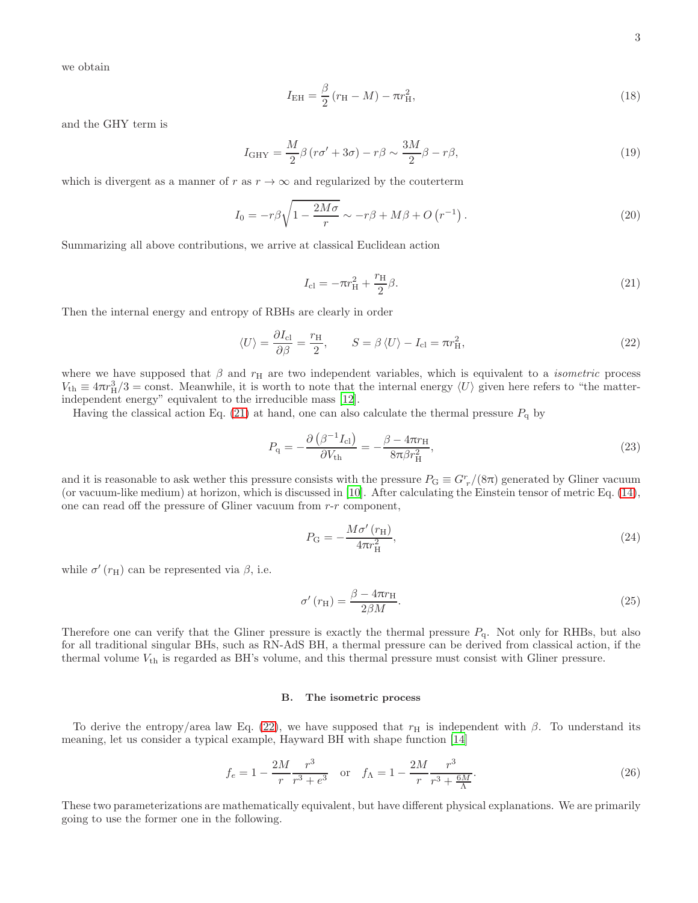we obtain

$$
I_{\rm EH} = \frac{\beta}{2} (r_{\rm H} - M) - \pi r_{\rm H}^2,
$$
\n(18)

and the GHY term is

$$
I_{\rm GHY} = \frac{M}{2}\beta (r\sigma' + 3\sigma) - r\beta \sim \frac{3M}{2}\beta - r\beta,
$$
\n(19)

which is divergent as a manner of r as  $r \to \infty$  and regularized by the couterterm

$$
I_0 = -r\beta \sqrt{1 - \frac{2M\sigma}{r}} \sim -r\beta + M\beta + O\left(r^{-1}\right). \tag{20}
$$

Summarizing all above contributions, we arrive at classical Euclidean action

<span id="page-2-0"></span>
$$
I_{\rm cl} = -\pi r_{\rm H}^2 + \frac{r_{\rm H}}{2} \beta. \tag{21}
$$

Then the internal energy and entropy of RBHs are clearly in order

<span id="page-2-1"></span>
$$
\langle U \rangle = \frac{\partial I_{\rm cl}}{\partial \beta} = \frac{r_{\rm H}}{2}, \qquad S = \beta \langle U \rangle - I_{\rm cl} = \pi r_{\rm H}^2,\tag{22}
$$

where we have supposed that  $\beta$  and  $r_H$  are two independent variables, which is equivalent to a *isometric* process  $V_{\text{th}} \equiv 4\pi r_H^3/3 = \text{const.}$  Meanwhile, it is worth to note that the internal energy  $\langle U \rangle$  given here refers to "the matterindependent energy" equivalent to the irreducible mass [\[12\]](#page-9-3).

Having the classical action Eq. [\(21\)](#page-2-0) at hand, one can also calculate the thermal pressure  $P_q$  by

$$
P_{\mathbf{q}} = -\frac{\partial \left(\beta^{-1} I_{\mathbf{cl}}\right)}{\partial V_{\mathbf{th}}} = -\frac{\beta - 4\pi r_{\mathbf{H}}}{8\pi \beta r_{\mathbf{H}}^2},\tag{23}
$$

and it is reasonable to ask wether this pressure consists with the pressure  $P_G \equiv G_r^r/(8\pi)$  generated by Gliner vacuum (or vacuum-like medium) at horizon, which is discussed in [\[10](#page-9-1)]. After calculating the Einstein tensor of metric Eq. [\(14\)](#page-1-1), one can read off the pressure of Gliner vacuum from r-r component,

$$
P_{\rm G} = -\frac{M\sigma'(r_{\rm H})}{4\pi r_{\rm H}^2},\tag{24}
$$

while  $\sigma'(r_{\rm H})$  can be represented via  $\beta$ , i.e.

$$
\sigma'(r_{\rm H}) = \frac{\beta - 4\pi r_{\rm H}}{2\beta M}.\tag{25}
$$

Therefore one can verify that the Gliner pressure is exactly the thermal pressure  $P_q$ . Not only for RHBs, but also for all traditional singular BHs, such as RN-AdS BH, a thermal pressure can be derived from classical action, if the thermal volume  $V_{\text{th}}$  is regarded as BH's volume, and this thermal pressure must consist with Gliner pressure.

#### B. The isometric process

To derive the entropy/area law Eq. [\(22\)](#page-2-1), we have supposed that  $r_H$  is independent with  $\beta$ . To understand its meaning, let us consider a typical example, Hayward BH with shape function [\[14\]](#page-9-5)

<span id="page-2-2"></span>
$$
f_e = 1 - \frac{2M}{r} \frac{r^3}{r^3 + e^3} \quad \text{or} \quad f_\Lambda = 1 - \frac{2M}{r} \frac{r^3}{r^3 + \frac{6M}{\Lambda}}.\tag{26}
$$

These two parameterizations are mathematically equivalent, but have different physical explanations. We are primarily going to use the former one in the following.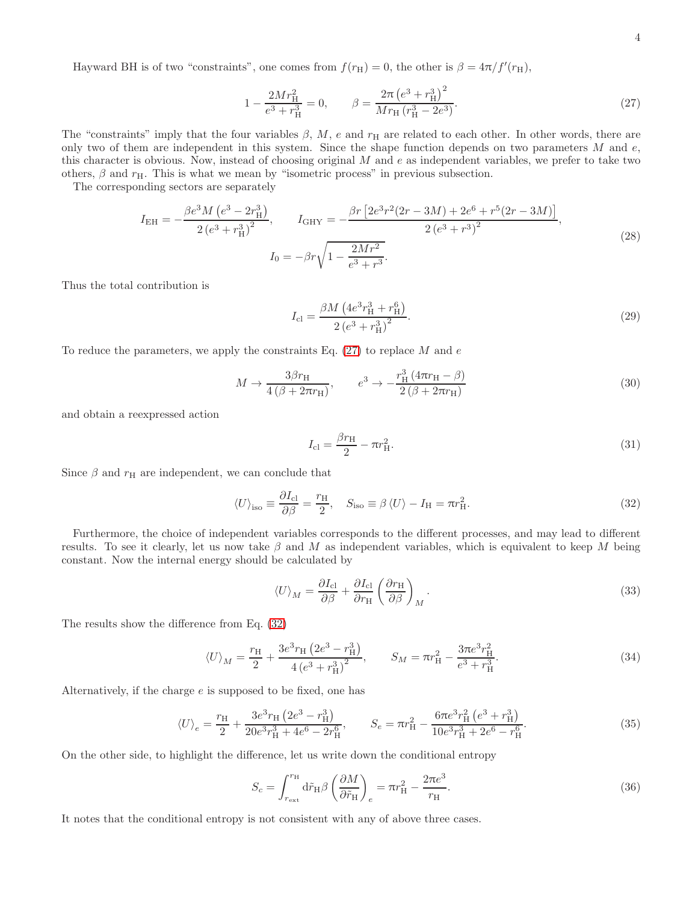Hayward BH is of two "constraints", one comes from  $f(r_H) = 0$ , the other is  $\beta = 4\pi/f'(r_H)$ ,

<span id="page-3-0"></span>
$$
1 - \frac{2Mr_{\rm H}^2}{e^3 + r_{\rm H}^3} = 0, \qquad \beta = \frac{2\pi \left(e^3 + r_{\rm H}^3\right)^2}{Mr_{\rm H}\left(r_{\rm H}^3 - 2e^3\right)}.
$$
\n(27)

The "constraints" imply that the four variables  $\beta$ , M, e and  $r_H$  are related to each other. In other words, there are only two of them are independent in this system. Since the shape function depends on two parameters  $M$  and  $e$ , this character is obvious. Now, instead of choosing original  $M$  and  $e$  as independent variables, we prefer to take two others,  $\beta$  and  $r_{\rm H}$ . This is what we mean by "isometric process" in previous subsection.

The corresponding sectors are separately

$$
I_{\rm EH} = -\frac{\beta e^3 M \left(e^3 - 2r_{\rm H}^3\right)}{2 \left(e^3 + r_{\rm H}^3\right)^2}, \qquad I_{\rm GHY} = -\frac{\beta r \left[2e^3 r^2 (2r - 3M) + 2e^6 + r^5 (2r - 3M)\right]}{2 \left(e^3 + r^3\right)^2},
$$
\n
$$
I_0 = -\beta r \sqrt{1 - \frac{2Mr^2}{e^3 + r^3}}.
$$
\n(28)

Thus the total contribution is

$$
I_{\rm cl} = \frac{\beta M \left(4e^3 r_{\rm H}^3 + r_{\rm H}^6\right)}{2\left(e^3 + r_{\rm H}^3\right)^2}.\tag{29}
$$

To reduce the parameters, we apply the constraints Eq.  $(27)$  to replace M and e

$$
M \to \frac{3\beta r_{\rm H}}{4\left(\beta + 2\pi r_{\rm H}\right)}, \qquad e^3 \to -\frac{r_{\rm H}^3\left(4\pi r_{\rm H} - \beta\right)}{2\left(\beta + 2\pi r_{\rm H}\right)}\tag{30}
$$

and obtain a reexpressed action

<span id="page-3-2"></span>
$$
I_{\rm cl} = \frac{\beta r_{\rm H}}{2} - \pi r_{\rm H}^2.
$$
\n(31)

Since  $\beta$  and  $r_H$  are independent, we can conclude that

<span id="page-3-1"></span>
$$
\langle U \rangle_{\text{iso}} \equiv \frac{\partial I_{\text{cl}}}{\partial \beta} = \frac{r_{\text{H}}}{2}, \quad S_{\text{iso}} \equiv \beta \langle U \rangle - I_{\text{H}} = \pi r_{\text{H}}^2. \tag{32}
$$

Furthermore, the choice of independent variables corresponds to the different processes, and may lead to different results. To see it clearly, let us now take  $\beta$  and M as independent variables, which is equivalent to keep M being constant. Now the internal energy should be calculated by

$$
\langle U \rangle_M = \frac{\partial I_{\text{cl}}}{\partial \beta} + \frac{\partial I_{\text{cl}}}{\partial r_H} \left( \frac{\partial r_H}{\partial \beta} \right)_M.
$$
\n(33)

The results show the difference from Eq. [\(32\)](#page-3-1)

$$
\langle U \rangle_M = \frac{r_H}{2} + \frac{3e^3 r_H (2e^3 - r_H^3)}{4 (e^3 + r_H^3)^2}, \qquad S_M = \pi r_H^2 - \frac{3\pi e^3 r_H^2}{e^3 + r_H^3}.
$$
\n(34)

Alternatively, if the charge  $e$  is supposed to be fixed, one has

$$
\langle U \rangle_e = \frac{r_H}{2} + \frac{3e^3 r_H \left(2e^3 - r_H^3\right)}{20e^3 r_H^3 + 4e^6 - 2r_H^6}, \qquad S_e = \pi r_H^2 - \frac{6\pi e^3 r_H^2 \left(e^3 + r_H^3\right)}{10e^3 r_H^3 + 2e^6 - r_H^6}.\tag{35}
$$

On the other side, to highlight the difference, let us write down the conditional entropy

$$
S_c = \int_{r_{\text{ext}}}^{r_{\text{H}}} d\tilde{r}_{\text{H}} \beta \left(\frac{\partial M}{\partial \tilde{r}_{\text{H}}}\right)_e = \pi r_{\text{H}}^2 - \frac{2\pi e^3}{r_{\text{H}}}.
$$
\n(36)

It notes that the conditional entropy is not consistent with any of above three cases.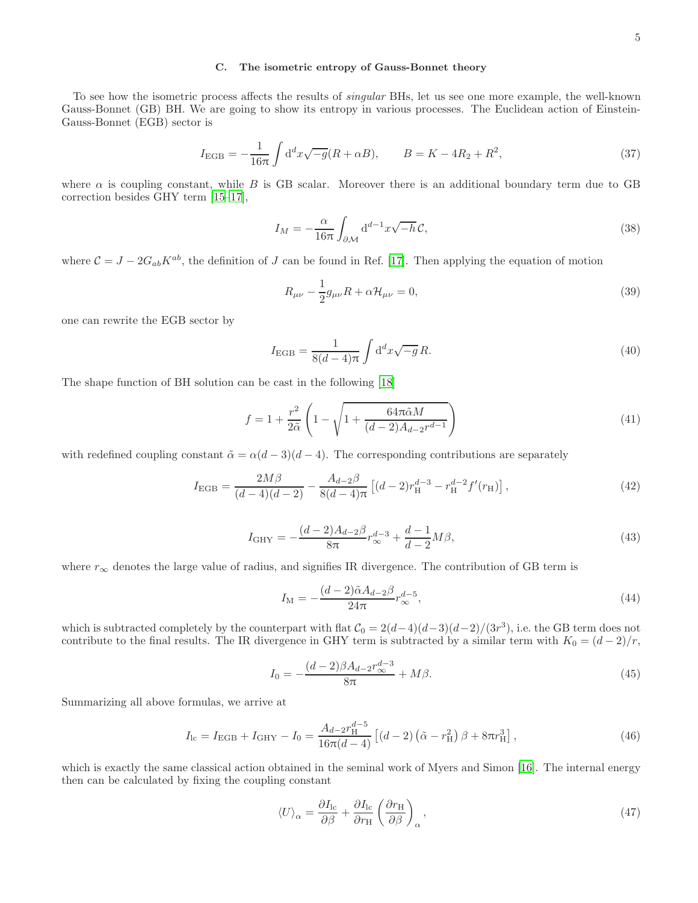# C. The isometric entropy of Gauss-Bonnet theory

To see how the isometric process affects the results of singular BHs, let us see one more example, the well-known Gauss-Bonnet (GB) BH. We are going to show its entropy in various processes. The Euclidean action of Einstein-Gauss-Bonnet (EGB) sector is

<span id="page-4-0"></span>
$$
I_{\rm EGB} = -\frac{1}{16\pi} \int d^d x \sqrt{-g} (R + \alpha B), \qquad B = K - 4R_2 + R^2,
$$
\n(37)

where  $\alpha$  is coupling constant, while B is GB scalar. Moreover there is an additional boundary term due to GB correction besides GHY term [\[15](#page-9-6)[–17](#page-9-7)],

$$
I_M = -\frac{\alpha}{16\pi} \int_{\partial \mathcal{M}} \mathrm{d}^{d-1} x \sqrt{-h} \mathcal{C},\tag{38}
$$

where  $C = J - 2G_{ab}K^{ab}$ , the definition of J can be found in Ref. [\[17\]](#page-9-7). Then applying the equation of motion

$$
R_{\mu\nu} - \frac{1}{2}g_{\mu\nu}R + \alpha \mathcal{H}_{\mu\nu} = 0,
$$
\n(39)

one can rewrite the EGB sector by

$$
I_{\rm EGB} = \frac{1}{8(d-4)\pi} \int d^d x \sqrt{-g} R. \tag{40}
$$

The shape function of BH solution can be cast in the following [\[18](#page-9-8)]

$$
f = 1 + \frac{r^2}{2\tilde{\alpha}} \left( 1 - \sqrt{1 + \frac{64\pi\tilde{\alpha}M}{(d-2)A_{d-2}r^{d-1}}} \right)
$$
(41)

with redefined coupling constant  $\tilde{\alpha} = \alpha(d-3)(d-4)$ . The corresponding contributions are separately

$$
I_{\rm EGB} = \frac{2M\beta}{(d-4)(d-2)} - \frac{A_{d-2}\beta}{8(d-4)\pi} \left[ (d-2)r_{\rm H}^{d-3} - r_{\rm H}^{d-2}f'(r_{\rm H}) \right],\tag{42}
$$

$$
I_{\rm GHY} = -\frac{(d-2)A_{d-2}\beta}{8\pi}r_{\infty}^{d-3} + \frac{d-1}{d-2}M\beta,
$$
\n(43)

where  $r_{\infty}$  denotes the large value of radius, and signifies IR divergence. The contribution of GB term is

$$
I_{\mathcal{M}} = -\frac{(d-2)\tilde{\alpha}A_{d-2}\beta}{24\pi}r_{\infty}^{d-5},\tag{44}
$$

which is subtracted completely by the counterpart with flat  $C_0 = 2(d-4)(d-3)(d-2)/(3r^3)$ , i.e. the GB term does not contribute to the final results. The IR divergence in GHY term is subtracted by a similar term with  $K_0 = (d-2)/r$ ,

$$
I_0 = -\frac{(d-2)\beta A_{d-2}r_{\infty}^{d-3}}{8\pi} + M\beta.
$$
\n(45)

Summarizing all above formulas, we arrive at

$$
I_{\rm lc} = I_{\rm EGB} + I_{\rm GHY} - I_0 = \frac{A_{d-2}r_{\rm H}^{d-5}}{16\pi(d-4)} \left[ (d-2) \left( \tilde{\alpha} - r_{\rm H}^2 \right) \beta + 8\pi r_{\rm H}^3 \right],\tag{46}
$$

which is exactly the same classical action obtained in the seminal work of Myers and Simon [\[16\]](#page-9-9). The internal energy then can be calculated by fixing the coupling constant

$$
\langle U \rangle_{\alpha} = \frac{\partial I_{\rm lc}}{\partial \beta} + \frac{\partial I_{\rm lc}}{\partial r_{\rm H}} \left( \frac{\partial r_{\rm H}}{\partial \beta} \right)_{\alpha},\tag{47}
$$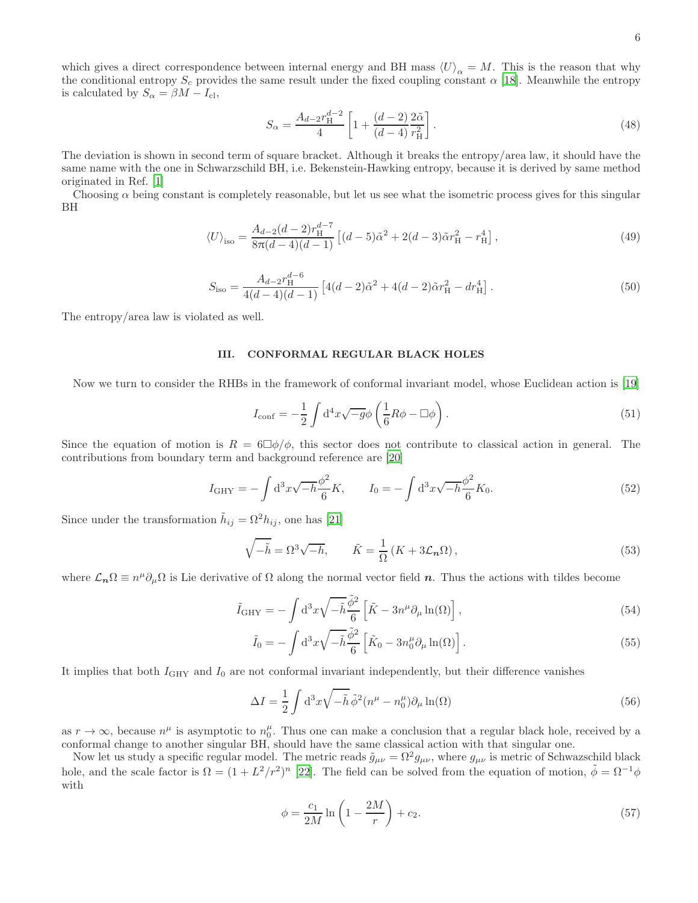which gives a direct correspondence between internal energy and BH mass  $\langle U \rangle_{\alpha} = M$ . This is the reason that why the conditional entropy  $S_c$  provides the same result under the fixed coupling constant  $\alpha$  [\[18\]](#page-9-8). Meanwhile the entropy is calculated by  $S_{\alpha} = \beta M - I_{\text{cl}},$ 

<span id="page-5-0"></span>
$$
S_{\alpha} = \frac{A_{d-2}r_{\rm H}^{d-2}}{4} \left[ 1 + \frac{(d-2)}{(d-4)} \frac{2\tilde{\alpha}}{r_{\rm H}^2} \right].
$$
 (48)

The deviation is shown in second term of square bracket. Although it breaks the entropy/area law, it should have the same name with the one in Schwarzschild BH, i.e. Bekenstein-Hawking entropy, because it is derived by same method originated in Ref. [\[1](#page-8-0)]

Choosing  $\alpha$  being constant is completely reasonable, but let us see what the isometric process gives for this singular BH

$$
\langle U \rangle_{\rm iso} = \frac{A_{d-2}(d-2)r_{\rm H}^{d-7}}{8\pi(d-4)(d-1)} \left[ (d-5)\tilde{\alpha}^2 + 2(d-3)\tilde{\alpha}r_{\rm H}^2 - r_{\rm H}^4 \right],\tag{49}
$$

$$
S_{\rm iso} = \frac{A_{d-2}r_{\rm H}^{d-6}}{4(d-4)(d-1)} \left[ 4(d-2)\tilde{\alpha}^2 + 4(d-2)\tilde{\alpha}r_{\rm H}^2 - dr_{\rm H}^4 \right]. \tag{50}
$$

The entropy/area law is violated as well.

#### III. CONFORMAL REGULAR BLACK HOLES

Now we turn to consider the RHBs in the framework of conformal invariant model, whose Euclidean action is [\[19\]](#page-9-10)

$$
I_{\text{conf}} = -\frac{1}{2} \int d^4x \sqrt{-g} \phi \left( \frac{1}{6} R \phi - \Box \phi \right). \tag{51}
$$

Since the equation of motion is  $R = 6\Box\phi/\phi$ , this sector does not contribute to classical action in general. The contributions from boundary term and background reference are [\[20](#page-9-11)]

$$
I_{\rm GHY} = -\int d^3x \sqrt{-h} \frac{\phi^2}{6} K, \qquad I_0 = -\int d^3x \sqrt{-h} \frac{\phi^2}{6} K_0. \tag{52}
$$

Since under the transformation  $\tilde{h}_{ij} = \Omega^2 h_{ij}$ , one has [\[21\]](#page-9-12)

$$
\sqrt{-\tilde{h}} = \Omega^3 \sqrt{-h}, \qquad \tilde{K} = \frac{1}{\Omega} \left( K + 3 \mathcal{L}_n \Omega \right), \tag{53}
$$

where  $\mathcal{L}_n \Omega \equiv n^{\mu} \partial_{\mu} \Omega$  is Lie derivative of  $\Omega$  along the normal vector field n. Thus the actions with tildes become

$$
\tilde{I}_{\rm GHY} = -\int d^3x \sqrt{-\tilde{h}} \frac{\tilde{\phi}^2}{6} \left[ \tilde{K} - 3n^{\mu} \partial_{\mu} \ln(\Omega) \right],\tag{54}
$$

$$
\tilde{I}_0 = -\int d^3x \sqrt{-\tilde{h}} \frac{\tilde{\phi}^2}{6} \left[ \tilde{K}_0 - 3n_0^{\mu} \partial_{\mu} \ln(\Omega) \right]. \tag{55}
$$

It implies that both  $I_{\text{GHY}}$  and  $I_0$  are not conformal invariant independently, but their difference vanishes

$$
\Delta I = \frac{1}{2} \int d^3x \sqrt{-\tilde{h}} \,\tilde{\phi}^2 (n^\mu - n_0^\mu) \partial_\mu \ln(\Omega) \tag{56}
$$

as  $r \to \infty$ , because  $n^{\mu}$  is asymptotic to  $n^{\mu}_{0}$ . Thus one can make a conclusion that a regular black hole, received by a conformal change to another singular BH, should have the same classical action with that singular one.

Now let us study a specific regular model. The metric reads  $\tilde{g}_{\mu\nu} = \Omega^2 g_{\mu\nu}$ , where  $g_{\mu\nu}$  is metric of Schwazschild black hole, and the scale factor is  $\Omega = (1 + L^2/r^2)^n$  [\[22\]](#page-9-13). The field can be solved from the equation of motion,  $\tilde{\phi} = \Omega^{-1} \phi$ with

$$
\phi = \frac{c_1}{2M} \ln \left( 1 - \frac{2M}{r} \right) + c_2. \tag{57}
$$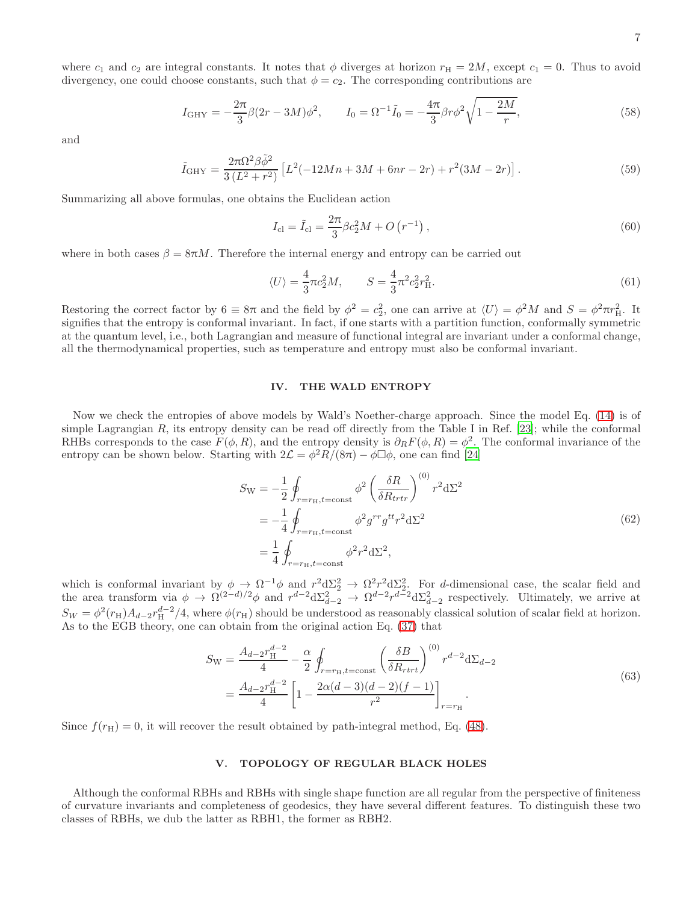where  $c_1$  and  $c_2$  are integral constants. It notes that  $\phi$  diverges at horizon  $r_H = 2M$ , except  $c_1 = 0$ . Thus to avoid divergency, one could choose constants, such that  $\phi = c_2$ . The corresponding contributions are

$$
I_{\text{GHY}} = -\frac{2\pi}{3}\beta(2r - 3M)\phi^2, \qquad I_0 = \Omega^{-1}\tilde{I}_0 = -\frac{4\pi}{3}\beta r \phi^2 \sqrt{1 - \frac{2M}{r}},\tag{58}
$$

and

$$
\tilde{I}_{GHY} = \frac{2\pi\Omega^2\beta\tilde{\phi}^2}{3(L^2+r^2)} \left[ L^2(-12Mn+3M+6nr-2r) + r^2(3M-2r) \right].
$$
\n(59)

Summarizing all above formulas, one obtains the Euclidean action

$$
I_{\rm cl} = \tilde{I}_{\rm cl} = \frac{2\pi}{3}\beta c_2^2 M + O\left(r^{-1}\right),\tag{60}
$$

where in both cases  $\beta = 8\pi M$ . Therefore the internal energy and entropy can be carried out

$$
\langle U \rangle = \frac{4}{3}\pi c_2^2 M, \qquad S = \frac{4}{3}\pi^2 c_2^2 r_H^2. \tag{61}
$$

Restoring the correct factor by  $6 \equiv 8\pi$  and the field by  $\phi^2 = c_2^2$ , one can arrive at  $\langle U \rangle = \phi^2 M$  and  $S = \phi^2 \pi r_H^2$ . It signifies that the entropy is conformal invariant. In fact, if one starts with a partition function, conformally symmetric at the quantum level, i.e., both Lagrangian and measure of functional integral are invariant under a conformal change, all the thermodynamical properties, such as temperature and entropy must also be conformal invariant.

## IV. THE WALD ENTROPY

Now we check the entropies of above models by Wald's Noether-charge approach. Since the model Eq. [\(14\)](#page-1-1) is of simple Lagrangian R, its entropy density can be read off directly from the Table I in Ref. [\[23\]](#page-9-14); while the conformal RHBs corresponds to the case  $F(\phi, R)$ , and the entropy density is  $\partial_R F(\phi, R) = \phi^2$ . The conformal invariance of the entropy can be shown below. Starting with  $2\mathcal{L} = \phi^2 R/(8\pi) - \phi \Box \phi$ , one can find [\[24\]](#page-9-15)

$$
S_{\rm W} = -\frac{1}{2} \oint_{r=r_{\rm H}, t=\text{const}} \phi^2 \left(\frac{\delta R}{\delta R_{trtr}}\right)^{(0)} r^2 d\Sigma^2
$$
  
=  $-\frac{1}{4} \oint_{r=r_{\rm H}, t=\text{const}} \phi^2 g^{rr} g^{tt} r^2 d\Sigma^2$   
=  $\frac{1}{4} \oint_{r=r_{\rm H}, t=\text{const}} \phi^2 r^2 d\Sigma^2$ , (62)

which is conformal invariant by  $\phi \to \Omega^{-1} \phi$  and  $r^2 d\Sigma_2^2 \to \Omega^2 r^2 d\Sigma_2^2$ . For d-dimensional case, the scalar field and the area transform via  $\phi \to \Omega^{(2-d)/2} \phi$  and  $r^{d-2} d\Sigma_{d-2}^2 \to \Omega^{d-2} r^{d-2} d\Sigma_{d-2}^2$  respectively. Ultimately, we arrive at  $S_W = \phi^2(r_H)A_{d-2}r_H^{d-2}/4$ , where  $\phi(r_H)$  should be understood as reasonably classical solution of scalar field at horizon. As to the EGB theory, one can obtain from the original action Eq. [\(37\)](#page-4-0) that

$$
S_{\rm W} = \frac{A_{d-2}r_{\rm H}^{d-2}}{4} - \frac{\alpha}{2} \oint_{r=r_{\rm H}, t=\text{const}} \left(\frac{\delta B}{\delta R_{rtrt}}\right)^{(0)} r^{d-2} d\Sigma_{d-2}
$$
  
= 
$$
\frac{A_{d-2}r_{\rm H}^{d-2}}{4} \left[1 - \frac{2\alpha(d-3)(d-2)(f-1)}{r^2}\right]_{r=r_{\rm H}}.
$$
 (63)

Since  $f(r_{\rm H}) = 0$ , it will recover the result obtained by path-integral method, Eq. [\(48\)](#page-5-0).

# V. TOPOLOGY OF REGULAR BLACK HOLES

Although the conformal RBHs and RBHs with single shape function are all regular from the perspective of finiteness of curvature invariants and completeness of geodesics, they have several different features. To distinguish these two classes of RBHs, we dub the latter as RBH1, the former as RBH2.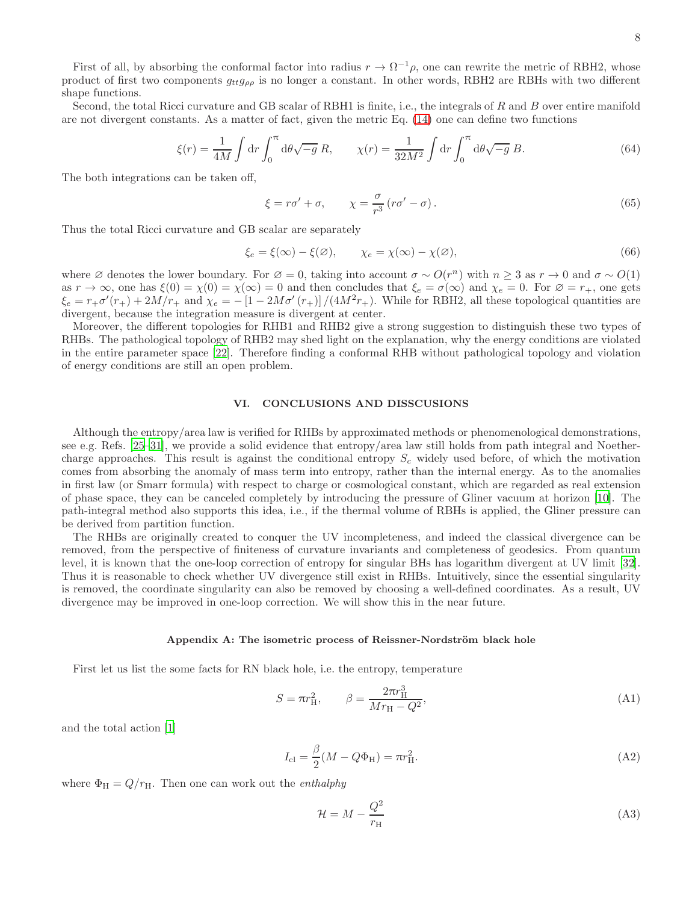8

First of all, by absorbing the conformal factor into radius  $r \to \Omega^{-1} \rho$ , one can rewrite the metric of RBH2, whose product of first two components  $g_{tt}g_{\rho\rho}$  is no longer a constant. In other words, RBH2 are RBHs with two different shape functions.

Second, the total Ricci curvature and GB scalar of RBH1 is finite, i.e., the integrals of  $R$  and  $B$  over entire manifold are not divergent constants. As a matter of fact, given the metric Eq. [\(14\)](#page-1-1) one can define two functions

$$
\xi(r) = \frac{1}{4M} \int \mathrm{d}r \int_0^{\pi} \mathrm{d}\theta \sqrt{-g} \, R, \qquad \chi(r) = \frac{1}{32M^2} \int \mathrm{d}r \int_0^{\pi} \mathrm{d}\theta \sqrt{-g} \, B. \tag{64}
$$

The both integrations can be taken off,

$$
\xi = r\sigma' + \sigma, \qquad \chi = \frac{\sigma}{r^3} \left( r\sigma' - \sigma \right). \tag{65}
$$

Thus the total Ricci curvature and GB scalar are separately

$$
\xi_e = \xi(\infty) - \xi(\varnothing), \qquad \chi_e = \chi(\infty) - \chi(\varnothing), \tag{66}
$$

where ∅ denotes the lower boundary. For  $\varnothing = 0$ , taking into account  $\sigma \sim O(r^n)$  with  $n \geq 3$  as  $r \to 0$  and  $\sigma \sim O(1)$ as  $r \to \infty$ , one has  $\xi(0) = \chi(0) = \chi(\infty) = 0$  and then concludes that  $\xi_e = \sigma(\infty)$  and  $\chi_e = 0$ . For  $\varnothing = r_+$ , one gets  $\xi_e = r_+ \sigma'(r_+) + 2M/r_+$  and  $\chi_e = -\left[1 - 2M\sigma'(r_+)\right]/(4M^2r_+)$ . While for RBH2, all these topological quantities are divergent, because the integration measure is divergent at center.

Moreover, the different topologies for RHB1 and RHB2 give a strong suggestion to distinguish these two types of RHBs. The pathological topology of RHB2 may shed light on the explanation, why the energy conditions are violated in the entire parameter space [\[22](#page-9-13)]. Therefore finding a conformal RHB without pathological topology and violation of energy conditions are still an open problem.

### VI. CONCLUSIONS AND DISSCUSIONS

Although the entropy/area law is verified for RHBs by approximated methods or phenomenological demonstrations, see e.g. Refs. [\[25](#page-9-16)[–31\]](#page-9-17), we provide a solid evidence that entropy/area law still holds from path integral and Noethercharge approaches. This result is against the conditional entropy  $S_c$  widely used before, of which the motivation comes from absorbing the anomaly of mass term into entropy, rather than the internal energy. As to the anomalies in first law (or Smarr formula) with respect to charge or cosmological constant, which are regarded as real extension of phase space, they can be canceled completely by introducing the pressure of Gliner vacuum at horizon [\[10](#page-9-1)]. The path-integral method also supports this idea, i.e., if the thermal volume of RBHs is applied, the Gliner pressure can be derived from partition function.

The RHBs are originally created to conquer the UV incompleteness, and indeed the classical divergence can be removed, from the perspective of finiteness of curvature invariants and completeness of geodesics. From quantum level, it is known that the one-loop correction of entropy for singular BHs has logarithm divergent at UV limit [\[32\]](#page-9-18). Thus it is reasonable to check whether UV divergence still exist in RHBs. Intuitively, since the essential singularity is removed, the coordinate singularity can also be removed by choosing a well-defined coordinates. As a result, UV divergence may be improved in one-loop correction. We will show this in the near future.

### <span id="page-7-0"></span>Appendix A: The isometric process of Reissner-Nordström black hole

First let us list the some facts for RN black hole, i.e. the entropy, temperature

<span id="page-7-1"></span>
$$
S = \pi r_H^2, \qquad \beta = \frac{2\pi r_H^3}{Mr_H - Q^2}, \tag{A1}
$$

and the total action [\[1\]](#page-8-0)

$$
I_{\rm cl} = \frac{\beta}{2}(M - Q\Phi_{\rm H}) = \pi r_{\rm H}^2.
$$
 (A2)

where  $\Phi_H = Q/r_H$ . Then one can work out the *enthalphy* 

$$
\mathcal{H} = M - \frac{Q^2}{r_{\rm H}}\tag{A3}
$$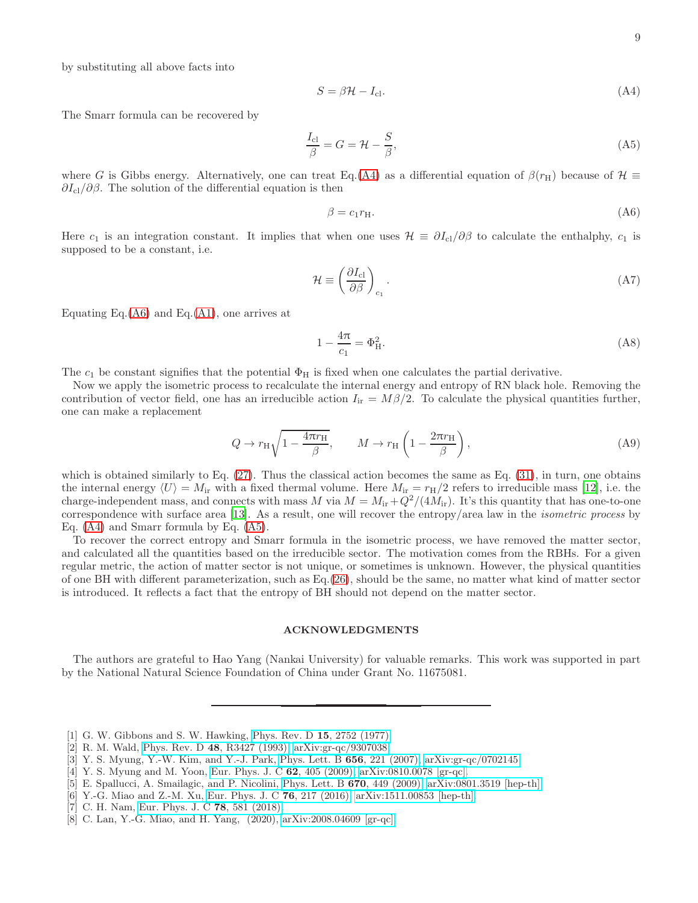by substituting all above facts into

<span id="page-8-3"></span>
$$
S = \beta \mathcal{H} - I_{\text{cl}}.\tag{A4}
$$

The Smarr formula can be recovered by

<span id="page-8-5"></span>
$$
\frac{I_{\rm cl}}{\beta} = G = \mathcal{H} - \frac{S}{\beta},\tag{A5}
$$

where G is Gibbs energy. Alternatively, one can treat Eq.[\(A4\)](#page-8-3) as a differential equation of  $\beta(r_H)$  because of  $\mathcal{H} \equiv$  $\partial I_{\text{cl}}/\partial \beta$ . The solution of the differential equation is then

<span id="page-8-4"></span>
$$
\beta = c_1 r_{\rm H}.\tag{A6}
$$

Here  $c_1$  is an integration constant. It implies that when one uses  $\mathcal{H} \equiv \partial I_{\rm cl}/\partial \beta$  to calculate the enthalphy,  $c_1$  is supposed to be a constant, i.e.

$$
\mathcal{H} \equiv \left(\frac{\partial I_{\rm cl}}{\partial \beta}\right)_{c_1}.\tag{A7}
$$

Equating Eq. $(A6)$  and Eq. $(A1)$ , one arrives at

$$
1 - \frac{4\pi}{c_1} = \Phi_H^2.
$$
 (A8)

The  $c_1$  be constant signifies that the potential  $\Phi_H$  is fixed when one calculates the partial derivative.

Now we apply the isometric process to recalculate the internal energy and entropy of RN black hole. Removing the contribution of vector field, one has an irreducible action  $I_{ir} = M\beta/2$ . To calculate the physical quantities further, one can make a replacement

$$
Q \to r_{\rm H} \sqrt{1 - \frac{4\pi r_{\rm H}}{\beta}}, \qquad M \to r_{\rm H} \left(1 - \frac{2\pi r_{\rm H}}{\beta}\right), \tag{A9}
$$

which is obtained similarly to Eq.  $(27)$ . Thus the classical action becomes the same as Eq.  $(31)$ , in turn, one obtains the internal energy  $\langle U \rangle = M_{ir}$  with a fixed thermal volume. Here  $M_{ir} = r_H/2$  refers to irreducible mass [\[12](#page-9-3)], i.e. the charge-independent mass, and connects with mass M via  $M = M_{ir} + Q^2/(4M_{ir})$ . It's this quantity that has one-to-one correspondence with surface area [\[13\]](#page-9-4). As a result, one will recover the entropy/area law in the isometric process by Eq. [\(A4\)](#page-8-3) and Smarr formula by Eq. [\(A5\)](#page-8-5).

To recover the correct entropy and Smarr formula in the isometric process, we have removed the matter sector, and calculated all the quantities based on the irreducible sector. The motivation comes from the RBHs. For a given regular metric, the action of matter sector is not unique, or sometimes is unknown. However, the physical quantities of one BH with different parameterization, such as Eq.[\(26\)](#page-2-2), should be the same, no matter what kind of matter sector is introduced. It reflects a fact that the entropy of BH should not depend on the matter sector.

### ACKNOWLEDGMENTS

The authors are grateful to Hao Yang (Nankai University) for valuable remarks. This work was supported in part by the National Natural Science Foundation of China under Grant No. 11675081.

- <span id="page-8-0"></span>[1] G. W. Gibbons and S. W. Hawking, Phys. Rev. D 15[, 2752 \(1977\).](https://doi.org/10.1103/PhysRevD.15.2752)
- <span id="page-8-1"></span>[2] R. M. Wald, Phys. Rev. D 48[, R3427 \(1993\),](https://doi.org/10.1103/PhysRevD.48.R3427) [arXiv:gr-qc/9307038.](https://arxiv.org/abs/gr-qc/9307038)
- <span id="page-8-2"></span>[3] Y. S. Myung, Y.-W. Kim, and Y.-J. Park, [Phys. Lett. B](https://doi.org/10.1016/j.physletb.2007.09.056) 656, 221 (2007), [arXiv:gr-qc/0702145.](https://arxiv.org/abs/gr-qc/0702145)
- [4] Y. S. Myung and M. Yoon, [Eur. Phys. J. C](https://doi.org/10.1140/epjc/s10052-009-1036-9)  $62$ ,  $405$  (2009), [arXiv:0810.0078 \[gr-qc\].](https://arxiv.org/abs/0810.0078)
- [5] E. Spallucci, A. Smailagic, and P. Nicolini, Phys. Lett. B 670[, 449 \(2009\),](https://doi.org/10.1016/j.physletb.2008.11.030) [arXiv:0801.3519 \[hep-th\].](https://arxiv.org/abs/0801.3519)
- [6] Y.-G. Miao and Z.-M. Xu, [Eur. Phys. J. C](https://doi.org/10.1140/epjc/s10052-016-4073-1)  $76$ , 217 (2016), [arXiv:1511.00853 \[hep-th\].](https://arxiv.org/abs/1511.00853)
- [7] C. H. Nam, [Eur. Phys. J. C](https://doi.org/10.1140/epjc/s10052-018-6056-x) 78, 581 (2018).
- [8] C. Lan, Y.-G. Miao, and H. Yang, (2020), [arXiv:2008.04609 \[gr-qc\].](https://arxiv.org/abs/2008.04609)